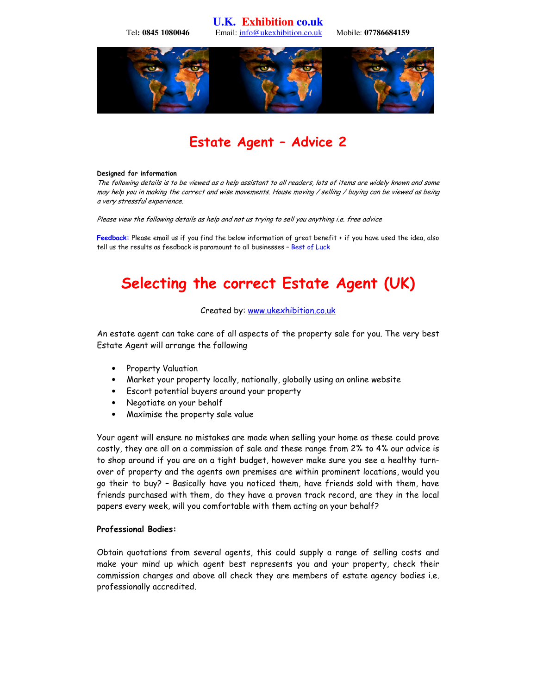**U.K. Exhibition co.uk** 

Tel**: 0845 1080046** Email: info@ukexhibition.co.uk Mobile: **07786684159** 



## Estate Agent – Advice 2

#### Designed for information

The following details is to be viewed as a help assistant to all readers, lots of items are widely known and some may help you in making the correct and wise movements. House moving / selling / buying can be viewed as being a very stressful experience.

Please view the following details as help and not us trying to sell you anything i.e. free advice

Feedback: Please email us if you find the below information of great benefit + if you have used the idea, also tell us the results as feedback is paramount to all businesses – Best of Luck

# Selecting the correct Estate Agent (UK)

#### Created by: www.ukexhibition.co.uk

An estate agent can take care of all aspects of the property sale for you. The very best Estate Agent will arrange the following

- Property Valuation
- Market your property locally, nationally, globally using an online website
- Escort potential buyers around your property
- Negotiate on your behalf
- Maximise the property sale value

Your agent will ensure no mistakes are made when selling your home as these could prove costly, they are all on a commission of sale and these range from 2% to 4% our advice is to shop around if you are on a tight budget, however make sure you see a healthy turnover of property and the agents own premises are within prominent locations, would you go their to buy? – Basically have you noticed them, have friends sold with them, have friends purchased with them, do they have a proven track record, are they in the local papers every week, will you comfortable with them acting on your behalf?

#### Professional Bodies:

Obtain quotations from several agents, this could supply a range of selling costs and make your mind up which agent best represents you and your property, check their commission charges and above all check they are members of estate agency bodies i.e. professionally accredited.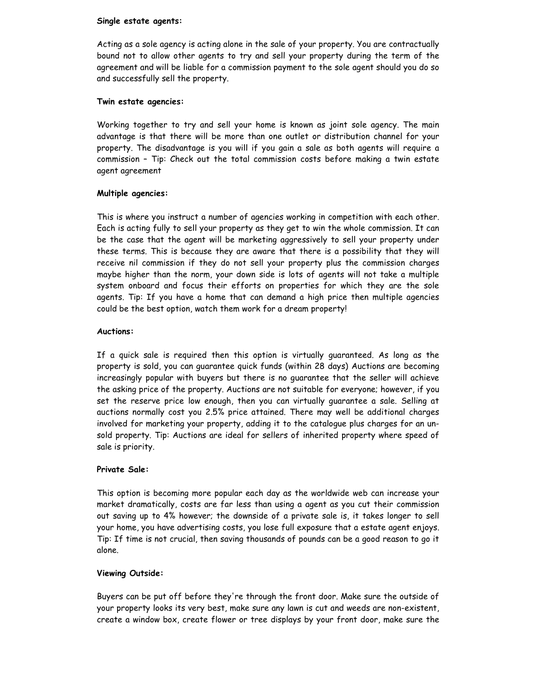#### Single estate agents:

Acting as a sole agency is acting alone in the sale of your property. You are contractually bound not to allow other agents to try and sell your property during the term of the agreement and will be liable for a commission payment to the sole agent should you do so and successfully sell the property.

#### Twin estate agencies:

Working together to try and sell your home is known as joint sole agency. The main advantage is that there will be more than one outlet or distribution channel for your property. The disadvantage is you will if you gain a sale as both agents will require a commission – Tip: Check out the total commission costs before making a twin estate agent agreement

#### Multiple agencies:

This is where you instruct a number of agencies working in competition with each other. Each is acting fully to sell your property as they get to win the whole commission. It can be the case that the agent will be marketing aggressively to sell your property under these terms. This is because they are aware that there is a possibility that they will receive nil commission if they do not sell your property plus the commission charges maybe higher than the norm, your down side is lots of agents will not take a multiple system onboard and focus their efforts on properties for which they are the sole agents. Tip: If you have a home that can demand a high price then multiple agencies could be the best option, watch them work for a dream property!

#### Auctions:

If a quick sale is required then this option is virtually guaranteed. As long as the property is sold, you can guarantee quick funds (within 28 days) Auctions are becoming increasingly popular with buyers but there is no guarantee that the seller will achieve the asking price of the property. Auctions are not suitable for everyone; however, if you set the reserve price low enough, then you can virtually guarantee a sale. Selling at auctions normally cost you 2.5% price attained. There may well be additional charges involved for marketing your property, adding it to the catalogue plus charges for an unsold property. Tip: Auctions are ideal for sellers of inherited property where speed of sale is priority.

#### Private Sale:

This option is becoming more popular each day as the worldwide web can increase your market dramatically, costs are far less than using a agent as you cut their commission out saving up to 4% however; the downside of a private sale is, it takes longer to sell your home, you have advertising costs, you lose full exposure that a estate agent enjoys. Tip: If time is not crucial, then saving thousands of pounds can be a good reason to go it alone.

#### Viewing Outside:

Buyers can be put off before they're through the front door. Make sure the outside of your property looks its very best, make sure any lawn is cut and weeds are non-existent, create a window box, create flower or tree displays by your front door, make sure the